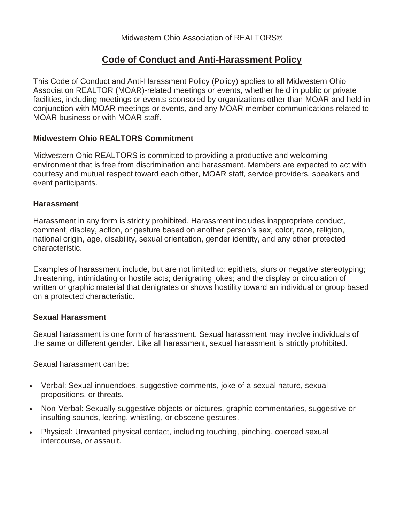# **Code of Conduct and Anti-Harassment Policy**

This Code of Conduct and Anti-Harassment Policy (Policy) applies to all Midwestern Ohio Association REALTOR (MOAR)-related meetings or events, whether held in public or private facilities, including meetings or events sponsored by organizations other than MOAR and held in conjunction with MOAR meetings or events, and any MOAR member communications related to MOAR business or with MOAR staff.

# **Midwestern Ohio REALTORS Commitment**

Midwestern Ohio REALTORS is committed to providing a productive and welcoming environment that is free from discrimination and harassment. Members are expected to act with courtesy and mutual respect toward each other, MOAR staff, service providers, speakers and event participants.

### **Harassment**

Harassment in any form is strictly prohibited. Harassment includes inappropriate conduct, comment, display, action, or gesture based on another person's sex, color, race, religion, national origin, age, disability, sexual orientation, gender identity, and any other protected characteristic.

Examples of harassment include, but are not limited to: epithets, slurs or negative stereotyping; threatening, intimidating or hostile acts; denigrating jokes; and the display or circulation of written or graphic material that denigrates or shows hostility toward an individual or group based on a protected characteristic.

### **Sexual Harassment**

Sexual harassment is one form of harassment. Sexual harassment may involve individuals of the same or different gender. Like all harassment, sexual harassment is strictly prohibited.

Sexual harassment can be:

- Verbal: Sexual innuendoes, suggestive comments, joke of a sexual nature, sexual propositions, or threats.
- Non-Verbal: Sexually suggestive objects or pictures, graphic commentaries, suggestive or insulting sounds, leering, whistling, or obscene gestures.
- Physical: Unwanted physical contact, including touching, pinching, coerced sexual intercourse, or assault.